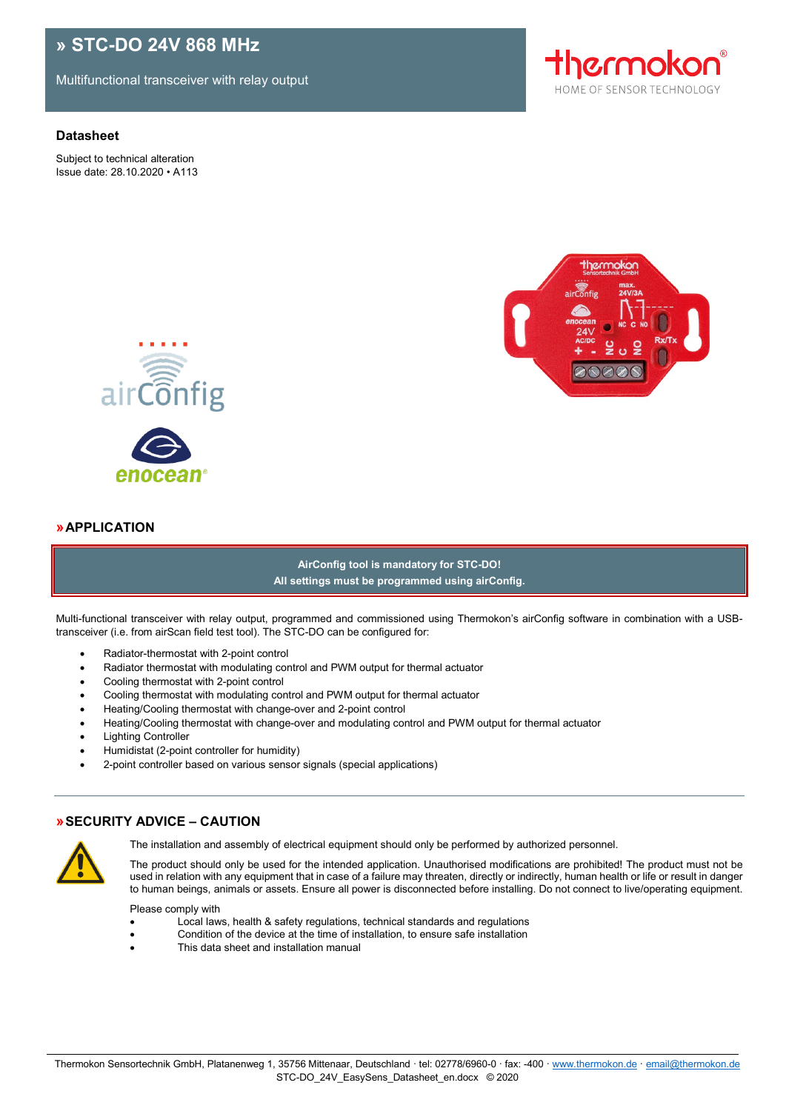# **» STC-DO 24V 868 MHz**

Multifunctional transceiver with relay output

# **Datasheet**

Subject to technical alteration Issue date: 28.10.2020 • A113







# **»APPLICATION**

**AirConfig tool is mandatory for STC-DO! All settings must be programmed using airConfig.**

Multi-functional transceiver with relay output, programmed and commissioned using Thermokon's airConfig software in combination with a USBtransceiver (i.e. from airScan field test tool). The STC-DO can be configured for:

- Radiator-thermostat with 2-point control
- Radiator thermostat with modulating control and PWM output for thermal actuator
- Cooling thermostat with 2-point control
- Cooling thermostat with modulating control and PWM output for thermal actuator
- Heating/Cooling thermostat with change-over and 2-point control
- Heating/Cooling thermostat with change-over and modulating control and PWM output for thermal actuator
- Lighting Controller
- Humidistat (2-point controller for humidity)
- 2-point controller based on various sensor signals (special applications)

# **»SECURITY ADVICE – CAUTION**



The installation and assembly of electrical equipment should only be performed by authorized personnel.

The product should only be used for the intended application. Unauthorised modifications are prohibited! The product must not be used in relation with any equipment that in case of a failure may threaten, directly or indirectly, human health or life or result in danger to human beings, animals or assets. Ensure all power is disconnected before installing. Do not connect to live/operating equipment.

Please comply with

- Local laws, health & safety regulations, technical standards and regulations
- Condition of the device at the time of installation, to ensure safe installation
- This data sheet and installation manual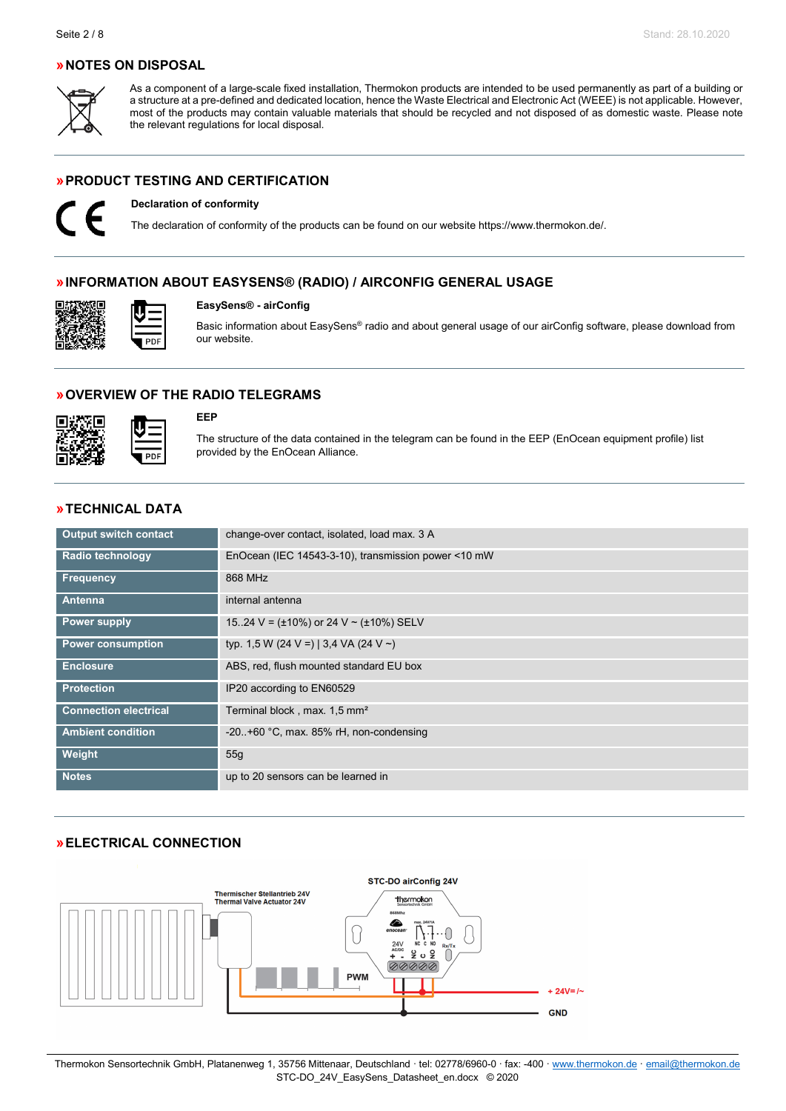# **»NOTES ON DISPOSAL**



As a component of a large-scale fixed installation, Thermokon products are intended to be used permanently as part of a building or a structure at a pre-defined and dedicated location, hence the Waste Electrical and Electronic Act (WEEE) is not applicable. However, most of the products may contain valuable materials that should be recycled and not disposed of as domestic waste. Please note the relevant regulations for local disposal.

# **»PRODUCT TESTING AND CERTIFICATION**



# **Declaration of conformity**

The declaration of conformity of the products can be found on our websit[e https://www.thermokon.de/.](https://www.thermokon.de/downloadcenter/)

### **»INFORMATION ABOUT EASYSENS® (RADIO) / AIRCONFIG GENERAL USAGE**

### **EasySens® - airConfig**

Basic information about EasySens® radio and about general usage of our airConfig software, please download from our website.

### **»OVERVIEW OF THE RADIO TELEGRAMS**



### **EEP**

The structure of the data contained in the telegram can be found in the EEP (EnOcean equipment profile) list provided by the EnOcean Alliance.

# **»TECHNICAL DATA**

| <b>Output switch contact</b> | change-over contact, isolated, load max. 3 A        |
|------------------------------|-----------------------------------------------------|
| Radio technology             | EnOcean (IEC 14543-3-10), transmission power <10 mW |
| <b>Frequency</b>             | 868 MHz                                             |
| Antenna                      | internal antenna                                    |
| <b>Power supply</b>          | 1524 V = $(\pm 10\%)$ or 24 V ~ $(\pm 10\%)$ SELV   |
| <b>Power consumption</b>     | typ. 1,5 W (24 V =)   3,4 VA (24 V ~)               |
| <b>Enclosure</b>             | ABS, red, flush mounted standard EU box             |
| <b>Protection</b>            | IP20 according to EN60529                           |
| <b>Connection electrical</b> | Terminal block, max. 1,5 mm <sup>2</sup>            |
| <b>Ambient condition</b>     | $-20.+60$ °C, max. 85% rH, non-condensing           |
| Weight                       | 55g                                                 |
| <b>Notes</b>                 | up to 20 sensors can be learned in                  |

# **»ELECTRICAL CONNECTION**

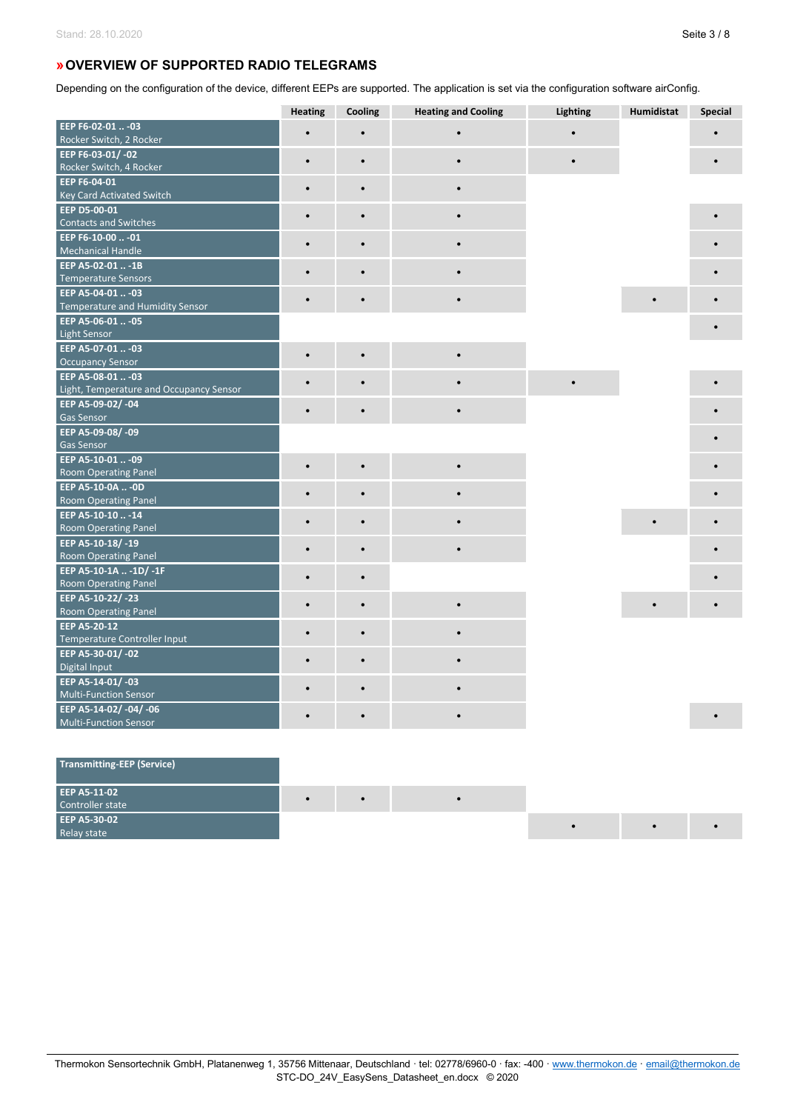# **»OVERVIEW OF SUPPORTED RADIO TELEGRAMS**

Depending on the configuration of the device, different EEPs are supported. The application is set via the configuration software airConfig.

|                                         | <b>Heating</b> | Cooling   | <b>Heating and Cooling</b> | Lighting | Humidistat | <b>Special</b> |
|-----------------------------------------|----------------|-----------|----------------------------|----------|------------|----------------|
| EEP F6-02-01  -03                       |                |           |                            |          |            |                |
| Rocker Switch, 2 Rocker                 |                |           |                            |          |            |                |
| EEP F6-03-01/-02                        | $\bullet$      | $\bullet$ |                            |          |            |                |
| Rocker Switch, 4 Rocker                 |                |           |                            |          |            |                |
| EEP F6-04-01                            | $\bullet$      | $\bullet$ |                            |          |            |                |
| <b>Key Card Activated Switch</b>        |                |           |                            |          |            |                |
| EEP D5-00-01                            | $\bullet$      | $\bullet$ |                            |          |            |                |
| <b>Contacts and Switches</b>            |                |           |                            |          |            |                |
| EEP F6-10-00  -01                       |                |           |                            |          |            |                |
| <b>Mechanical Handle</b>                |                |           |                            |          |            |                |
| EEP A5-02-01  -1B                       |                | $\bullet$ |                            |          |            |                |
| <b>Temperature Sensors</b>              |                |           |                            |          |            |                |
| EEP A5-04-01  -03                       | $\bullet$      |           |                            |          |            |                |
| <b>Temperature and Humidity Sensor</b>  |                |           |                            |          |            |                |
| EEP A5-06-01  - 05                      |                |           |                            |          |            |                |
| <b>Light Sensor</b>                     |                |           |                            |          |            |                |
| EEP A5-07-01  -03                       | $\bullet$      | $\bullet$ |                            |          |            |                |
| <b>Occupancy Sensor</b>                 |                |           |                            |          |            |                |
| EEP A5-08-01  -03                       |                |           |                            |          |            |                |
| Light, Temperature and Occupancy Sensor |                |           |                            |          |            |                |
| EEP A5-09-02/-04<br><b>Gas Sensor</b>   | $\bullet$      | $\bullet$ |                            |          |            |                |
| EEP A5-09-08/-09                        |                |           |                            |          |            |                |
| <b>Gas Sensor</b>                       |                |           |                            |          |            |                |
| EEP A5-10-01  -09                       |                |           |                            |          |            |                |
| <b>Room Operating Panel</b>             |                |           |                            |          |            |                |
| EEP A5-10-0A  - 0D                      |                |           |                            |          |            |                |
| Room Operating Panel                    | $\bullet$      | $\bullet$ |                            |          |            |                |
| EEP A5-10-10 -14                        |                |           |                            |          |            |                |
| <b>Room Operating Panel</b>             | $\bullet$      | $\bullet$ |                            |          |            |                |
| EEP A5-10-18/-19                        |                |           |                            |          |            |                |
| <b>Room Operating Panel</b>             |                |           |                            |          |            |                |
| EEP A5-10-1A  -1D/ -1F                  |                |           |                            |          |            |                |
| <b>Room Operating Panel</b>             |                | $\bullet$ |                            |          |            |                |
| EEP A5-10-22/-23                        |                |           |                            |          |            |                |
| <b>Room Operating Panel</b>             | $\bullet$      | $\bullet$ |                            |          |            |                |
| EEP A5-20-12                            |                |           |                            |          |            |                |
| Temperature Controller Input            | $\bullet$      | $\bullet$ |                            |          |            |                |
| EEP A5-30-01/-02                        |                |           |                            |          |            |                |
| Digital Input                           |                |           |                            |          |            |                |
| EEP A5-14-01/-03                        |                |           |                            |          |            |                |
| <b>Multi-Function Sensor</b>            |                |           |                            |          |            |                |
| EEP A5-14-02/-04/-06                    |                |           |                            |          |            |                |
| <b>Multi-Function Sensor</b>            |                |           |                            |          |            |                |

| Transmitting-EEP (Service)       |           |  |  |  |
|----------------------------------|-----------|--|--|--|
| EEP A5-11-02<br>Controller state | $\bullet$ |  |  |  |
| EEP A5-30-02<br>Relay state      |           |  |  |  |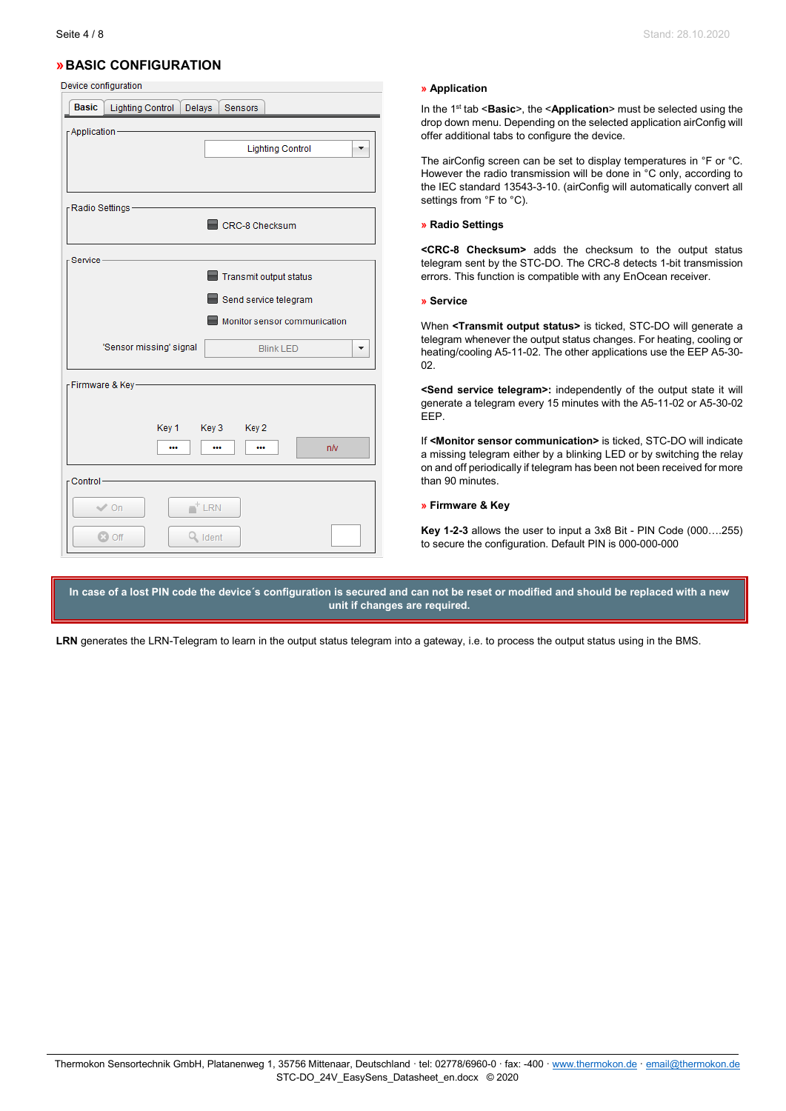# **»BASIC CONFIGURATION**

Device configuration

| <sub>.</sub><br><b>Basic</b>             | Lighting Control Delays | Sensors                                         |                              |
|------------------------------------------|-------------------------|-------------------------------------------------|------------------------------|
| - Application                            |                         | <b>Lighting Control</b>                         |                              |
| <sub>Γ</sub> Radio Settings –            |                         | CRC-8 Checksum                                  |                              |
| Service-                                 |                         | Transmit output status<br>Send service telegram | Monitor sensor communication |
|                                          | 'Sensor missing' signal | <b>Blink LED</b>                                |                              |
| -Firmware & Key-                         | Key 1 Key 3 Key 2<br>   | <br>                                            | nN                           |
| - Control-<br>$\vee$ On<br><b>C3 Off</b> | $+$ LRN<br>Q Ident      |                                                 |                              |

### **» Application**

In the 1st tab <**Basic**>, the <**Application**> must be selected using the drop down menu. Depending on the selected application airConfig will offer additional tabs to configure the device.

The airConfig screen can be set to display temperatures in °F or °C. However the radio transmission will be done in °C only, according to the IEC standard 13543-3-10. (airConfig will automatically convert all settings from °F to °C).

#### **» Radio Settings**

**<CRC-8 Checksum>** adds the checksum to the output status telegram sent by the STC-DO. The CRC-8 detects 1-bit transmission errors. This function is compatible with any EnOcean receiver.

#### **» Service**

When **<Transmit output status>** is ticked, STC-DO will generate a telegram whenever the output status changes. For heating, cooling or heating/cooling A5-11-02. The other applications use the EEP A5-30- 02.

**<Send service telegram>:** independently of the output state it will generate a telegram every 15 minutes with the A5-11-02 or A5-30-02 EEP.

If **<Monitor sensor communication>** is ticked, STC-DO will indicate a missing telegram either by a blinking LED or by switching the relay on and off periodically if telegram has been not been received for more than 90 minutes.

### **» Firmware & Key**

**Key 1-2-3** allows the user to input a 3x8 Bit - PIN Code (000….255) to secure the configuration. Default PIN is 000-000-000

**In case of a lost PIN code the device´s configuration is secured and can not be reset or modified and should be replaced with a new unit if changes are required.**

**LRN** generates the LRN-Telegram to learn in the output status telegram into a gateway, i.e. to process the output status using in the BMS.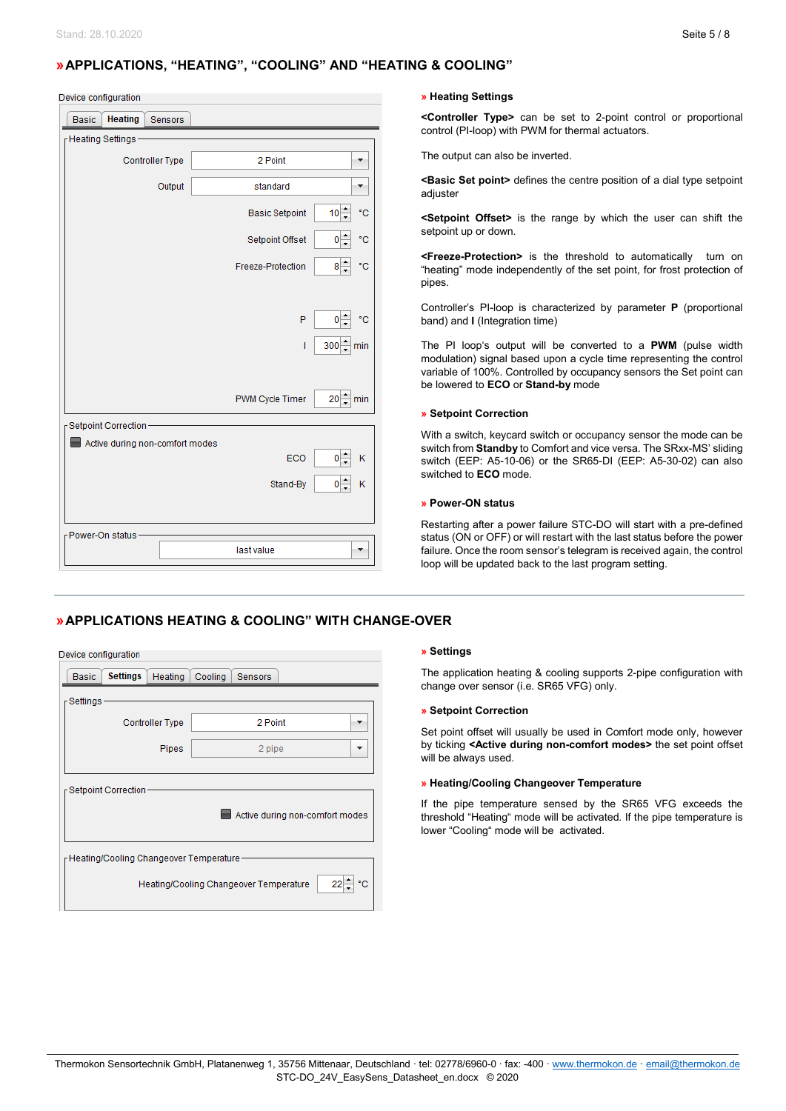# **»APPLICATIONS, "HEATING", "COOLING" AND "HEATING & COOLING"**

| Device configuration |  |
|----------------------|--|
|                      |  |

| <b>Heating</b><br><b>Basic</b><br>Sensors |                        |                                       |
|-------------------------------------------|------------------------|---------------------------------------|
| FHeating Settings-                        |                        |                                       |
| <b>Controller Type</b>                    | 2 Point                |                                       |
| Output                                    | standard               |                                       |
|                                           | <b>Basic Setpoint</b>  | $10 -$<br>۴C                          |
|                                           | Setpoint Offset        | ۰c<br>0                               |
|                                           | Freeze-Protection      | $8\frac{1}{7}$<br>$^{\circ} \text{C}$ |
|                                           |                        |                                       |
|                                           | P                      | $0^{-4}$<br>۴C                        |
|                                           | T                      | 300 min                               |
|                                           |                        |                                       |
|                                           | <b>PWM Cycle Timer</b> | $20 - \text{min}$                     |
| Setpoint Correction-                      |                        |                                       |
| Active during non-comfort modes           |                        |                                       |
|                                           | ECO                    | $0\frac{1}{2}$<br>Κ                   |
|                                           | Stand-By               | $\circ \div$<br>Κ                     |
|                                           |                        |                                       |
| - Power-On status                         |                        |                                       |
|                                           | last value             |                                       |

### **» Heating Settings**

**<Controller Type>** can be set to 2-point control or proportional control (PI-loop) with PWM for thermal actuators.

The output can also be inverted.

**<Basic Set point>** defines the centre position of a dial type setpoint adiuster

**<Setpoint Offset>** is the range by which the user can shift the setpoint up or down.

**<Freeze-Protection>** is the threshold to automatically turn on "heating" mode independently of the set point, for frost protection of pipes.

Controller's PI-loop is characterized by parameter **P** (proportional band) and **I** (Integration time)

The PI loop's output will be converted to a **PWM** (pulse width modulation) signal based upon a cycle time representing the control variable of 100%. Controlled by occupancy sensors the Set point can be lowered to **ECO** or **Stand-by** mode

### **» Setpoint Correction**

With a switch, keycard switch or occupancy sensor the mode can be switch from **Standby** to Comfort and vice versa. The SRxx-MS' sliding switch (EEP: A5-10-06) or the SR65-DI (EEP: A5-30-02) can also switched to **ECO** mode.

### **» Power-ON status**

Restarting after a power failure STC-DO will start with a pre-defined status (ON or OFF) or will restart with the last status before the power failure. Once the room sensor's telegram is received again, the control loop will be updated back to the last program setting.

# **»APPLICATIONS HEATING & COOLING" WITH CHANGE-OVER**

| Device configuration                         |                                          |                        |         |         |                                 |
|----------------------------------------------|------------------------------------------|------------------------|---------|---------|---------------------------------|
| <b>Basic</b>                                 | <b>Settings</b>                          | Heating                | Cooling | Sensors |                                 |
| r Settings ·                                 |                                          |                        |         |         |                                 |
|                                              |                                          | <b>Controller Type</b> |         | 2 Point |                                 |
|                                              |                                          | <b>Pipes</b>           |         | 2 pipe  |                                 |
|                                              |                                          |                        |         |         |                                 |
|                                              | ┌ Setpoint Correction ·                  |                        |         |         |                                 |
|                                              |                                          |                        |         |         | Active during non-comfort modes |
|                                              |                                          |                        |         |         |                                 |
|                                              | FHeating/Cooling Changeover Temperature- |                        |         |         |                                 |
| Heating/Cooling Changeover Temperature<br>22 |                                          |                        |         |         |                                 |
|                                              |                                          |                        |         |         |                                 |

### **» Settings**

The application heating & cooling supports 2-pipe configuration with change over sensor (i.e. SR65 VFG) only.

### **» Setpoint Correction**

Set point offset will usually be used in Comfort mode only, however by ticking **<Active during non-comfort modes>** the set point offset will be always used.

### **» Heating/Cooling Changeover Temperature**

If the pipe temperature sensed by the SR65 VFG exceeds the threshold "Heating" mode will be activated. If the pipe temperature is lower "Cooling" mode will be activated.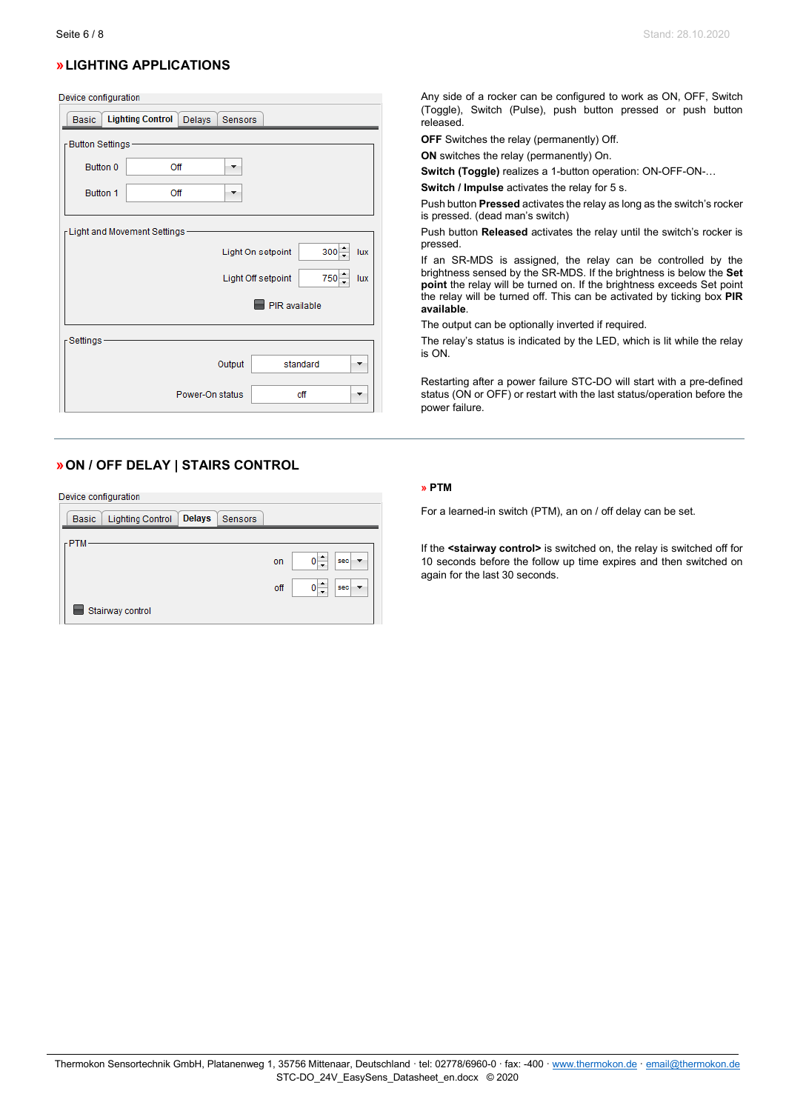# **»LIGHTING APPLICATIONS**

### Device configuration

| <b>Basic</b>                   | <b>Lighting Control</b>         | Delays          | <b>Sensors</b> |                    |          |     |
|--------------------------------|---------------------------------|-----------------|----------------|--------------------|----------|-----|
| <sub>Γ</sub> Button Settings - |                                 |                 |                |                    |          |     |
| Button 0                       |                                 | Off             |                |                    |          |     |
| Button 1                       |                                 | Off             | ▼              |                    |          |     |
|                                | r Light and Movement Settings - |                 |                | Light On setpoint  | $300 -$  | lux |
|                                |                                 |                 |                | Light Off setpoint | $750 -$  | lux |
|                                |                                 |                 |                | PIR available      |          |     |
| Settings-                      |                                 |                 |                |                    |          |     |
|                                |                                 |                 | Output         |                    | standard |     |
|                                |                                 | Power-On status |                |                    | off      |     |

# **»ON / OFF DELAY | STAIRS CONTROL**

Device configuration

| <b>Delays</b><br><b>Lighting Control</b><br>Sensors<br><b>Basic</b> |            |
|---------------------------------------------------------------------|------------|
| $r$ PTM                                                             |            |
|                                                                     | sec<br>on  |
|                                                                     | off<br>sec |
| Stairway control                                                    |            |

Any side of a rocker can be configured to work as ON, OFF, Switch (Toggle), Switch (Pulse), push button pressed or push button released.

**OFF** Switches the relay (permanently) Off.

**ON** switches the relay (permanently) On.

**Switch (Toggle)** realizes a 1-button operation: ON-OFF-ON-…

**Switch / Impulse** activates the relay for 5 s.

Push button **Pressed** activates the relay as long as the switch's rocker is pressed. (dead man's switch)

Push button **Released** activates the relay until the switch's rocker is pressed.

If an SR-MDS is assigned, the relay can be controlled by the brightness sensed by the SR-MDS. If the brightness is below the **Set point** the relay will be turned on. If the brightness exceeds Set point the relay will be turned off. This can be activated by ticking box **PIR available**.

The output can be optionally inverted if required.

The relay's status is indicated by the LED, which is lit while the relay is ON.

Restarting after a power failure STC-DO will start with a pre-defined status (ON or OFF) or restart with the last status/operation before the power failure.

### **» PTM**

For a learned-in switch (PTM), an on / off delay can be set.

If the **<stairway control>** is switched on, the relay is switched off for 10 seconds before the follow up time expires and then switched on again for the last 30 seconds.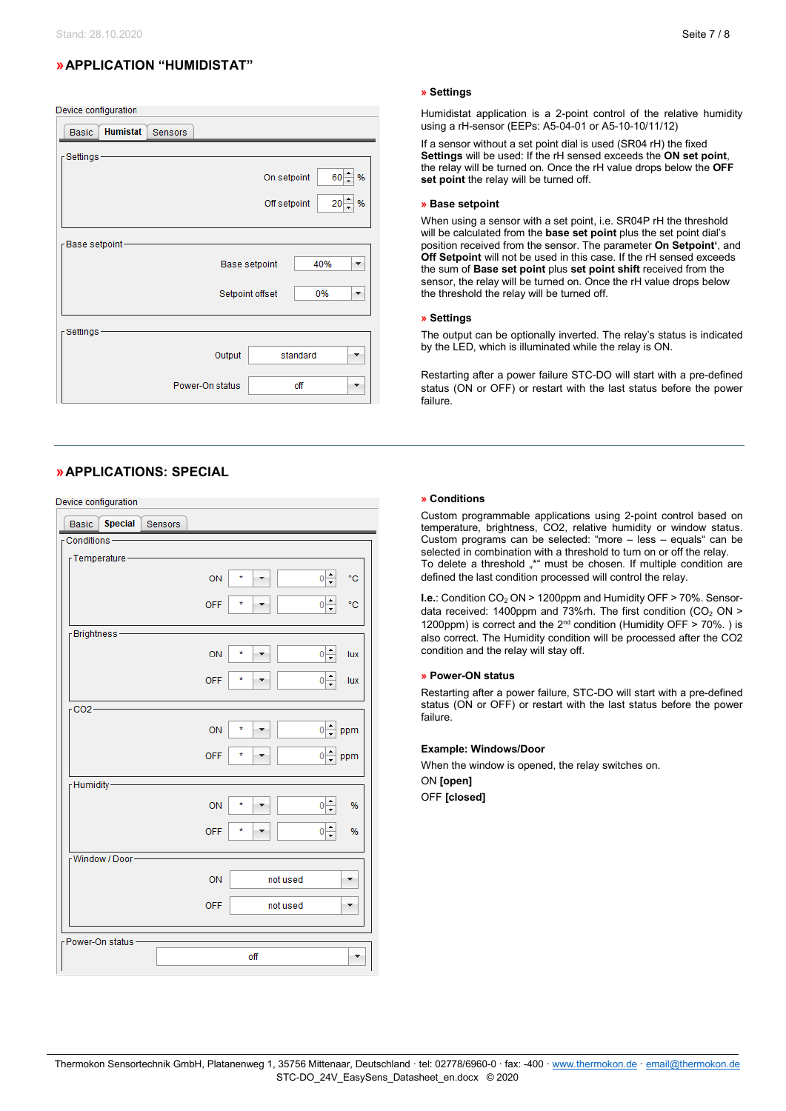# **»APPLICATION "HUMIDISTAT"**

Device configuration

| <b>Humistat</b><br><b>Basic</b><br><b>Sensors</b> |
|---------------------------------------------------|
| <sub>Γ</sub> Settings -                           |
| $60 - %$<br>On setpoint                           |
| 20 <sub>1</sub><br>%<br>Off setpoint              |
| -Base setpoint                                    |
| 40%<br>Base setpoint<br>┳                         |
| Setpoint offset<br>0%                             |
| <sub>Γ</sub> Settings -                           |
| Output<br>standard                                |
| Power-On status<br>off<br>÷                       |

# **»APPLICATIONS: SPECIAL**

vice configuration

| Device comiguration.                      |                                                   |
|-------------------------------------------|---------------------------------------------------|
| <b>Special</b><br><b>Basic</b><br>Sensors |                                                   |
| $r$ Conditions -                          |                                                   |
| r Temperature -                           |                                                   |
|                                           |                                                   |
|                                           | $\frac{1}{\sqrt{2}}$<br>۴C<br>ON<br>×             |
|                                           | ÷                                                 |
|                                           | $0\Big  \frac{1}{2}$<br>۴C<br><b>OFF</b>          |
|                                           |                                                   |
| -Brightness                               |                                                   |
|                                           | $0\frac{1}{2}$<br>ON<br>×,<br>lux                 |
|                                           |                                                   |
|                                           | $0\Big  \div$<br><b>OFF</b><br>*<br>lux           |
|                                           |                                                   |
| $CO2-$                                    |                                                   |
|                                           | $\frac{1}{x}$<br>ON<br>×<br>$\overline{0}$<br>ppm |
|                                           |                                                   |
|                                           | $0\Big  \div$<br><b>OFF</b><br>÷<br>ppm           |
|                                           |                                                   |
| FHumidity-                                |                                                   |
|                                           | $\frac{1}{\tau}$<br>ON<br>×<br>%<br>$\mathbf{0}$  |
|                                           |                                                   |
|                                           | $0\Big\vert \div$<br><b>OFF</b><br>÷<br>%         |
| -Window / Door-                           |                                                   |
|                                           |                                                   |
|                                           | ON<br>not used                                    |
|                                           |                                                   |
|                                           | <b>OFF</b><br>not used                            |
|                                           |                                                   |
| r Power-On status-                        |                                                   |
|                                           | off                                               |
|                                           |                                                   |

### **» Settings**

Humidistat application is a 2-point control of the relative humidity using a rH-sensor (EEPs: A5-04-01 or A5-10-10/11/12)

If a sensor without a set point dial is used (SR04 rH) the fixed **Settings** will be used: If the rH sensed exceeds the **ON set point**, the relay will be turned on. Once the rH value drops below the **OFF set point** the relay will be turned off.

### **» Base setpoint**

When using a sensor with a set point, i.e. SR04P rH the threshold will be calculated from the **base set point** plus the set point dial's position received from the sensor. The parameter **On Setpoint'**, and **Off Setpoint** will not be used in this case. If the rH sensed exceeds the sum of **Base set point** plus **set point shift** received from the sensor, the relay will be turned on. Once the rH value drops below the threshold the relay will be turned off.

### **» Settings**

The output can be optionally inverted. The relay's status is indicated by the LED, which is illuminated while the relay is ON.

Restarting after a power failure STC-DO will start with a pre-defined status (ON or OFF) or restart with the last status before the power failure.

#### **» Conditions**

Custom programmable applications using 2-point control based on temperature, brightness, CO2, relative humidity or window status. Custom programs can be selected: "more – less – equals" can be selected in combination with a threshold to turn on or off the relay. To delete a threshold "\*" must be chosen. If multiple condition are defined the last condition processed will control the relay.

**I.e.: Condition CO<sub>2</sub> ON > 1200ppm and Humidity OFF > 70%. Sensor**data received: 1400ppm and 73%rh. The first condition  $(CO_2 ON >$ 1200ppm) is correct and the  $2^{nd}$  condition (Humidity OFF  $> 70\%$ .) is also correct. The Humidity condition will be processed after the CO2 condition and the relay will stay off.

### **» Power-ON status**

Restarting after a power failure, STC-DO will start with a pre-defined status (ON or OFF) or restart with the last status before the power failure.

### **Example: Windows/Door**

When the window is opened, the relay switches on. ON **[open]**

OFF **[closed]**